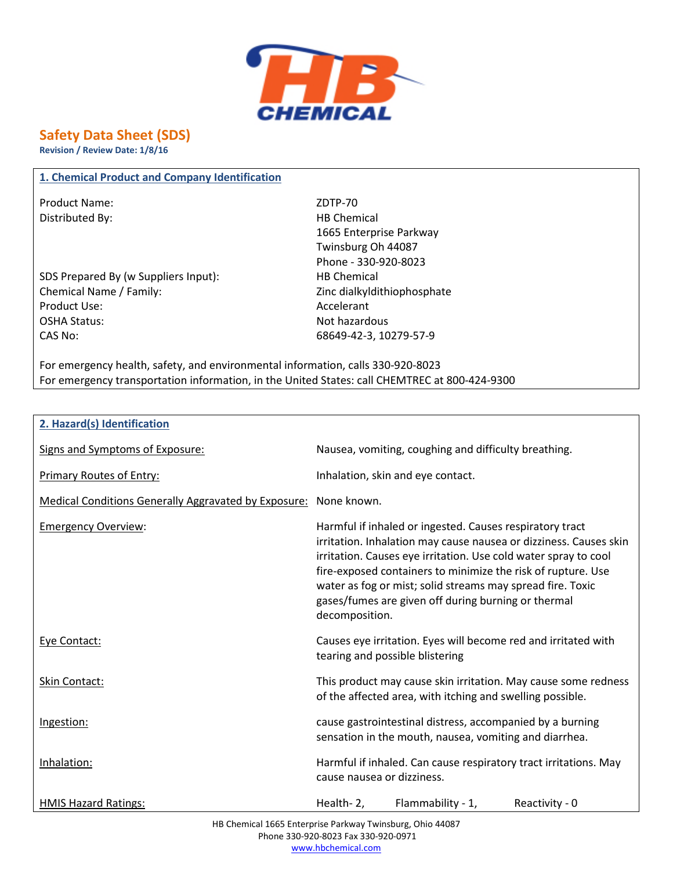

# **Safety Data Sheet (SDS)**

**Revision / Review Date: 1/8/16**

### **1. Chemical Product and Company Identification**

Product Name: ZDTP-70 Distributed By: HB Chemical

SDS Prepared By (w Suppliers Input): HB Chemical Chemical Name / Family:  $\qquad \qquad$  Zinc dialkyldithiophosphate Product Use: Accelerant OSHA Status: Not hazardous CAS No: 68649-42-3, 10279-57-9

1665 Enterprise Parkway Twinsburg Oh 44087 Phone - 330-920-8023

For emergency health, safety, and environmental information, calls 330-920-8023 For emergency transportation information, in the United States: call CHEMTREC at 800-424-9300

| 2. Hazard(s) Identification |  |
|-----------------------------|--|
|-----------------------------|--|

| Signs and Symptoms of Exposure:                                  | Nausea, vomiting, coughing and difficulty breathing.                                                                                                                                                                                                                                                                                                                                                    |
|------------------------------------------------------------------|---------------------------------------------------------------------------------------------------------------------------------------------------------------------------------------------------------------------------------------------------------------------------------------------------------------------------------------------------------------------------------------------------------|
| <b>Primary Routes of Entry:</b>                                  | Inhalation, skin and eye contact.                                                                                                                                                                                                                                                                                                                                                                       |
| Medical Conditions Generally Aggravated by Exposure: None known. |                                                                                                                                                                                                                                                                                                                                                                                                         |
| <b>Emergency Overview:</b>                                       | Harmful if inhaled or ingested. Causes respiratory tract<br>irritation. Inhalation may cause nausea or dizziness. Causes skin<br>irritation. Causes eye irritation. Use cold water spray to cool<br>fire-exposed containers to minimize the risk of rupture. Use<br>water as fog or mist; solid streams may spread fire. Toxic<br>gases/fumes are given off during burning or thermal<br>decomposition. |
| Eye Contact:                                                     | Causes eye irritation. Eyes will become red and irritated with<br>tearing and possible blistering                                                                                                                                                                                                                                                                                                       |
| Skin Contact:                                                    | This product may cause skin irritation. May cause some redness<br>of the affected area, with itching and swelling possible.                                                                                                                                                                                                                                                                             |
| Ingestion:                                                       | cause gastrointestinal distress, accompanied by a burning<br>sensation in the mouth, nausea, vomiting and diarrhea.                                                                                                                                                                                                                                                                                     |
| Inhalation:                                                      | Harmful if inhaled. Can cause respiratory tract irritations. May<br>cause nausea or dizziness.                                                                                                                                                                                                                                                                                                          |
| <b>HMIS Hazard Ratings:</b>                                      | Flammability - 1,<br>Reactivity - 0<br>Health-2,                                                                                                                                                                                                                                                                                                                                                        |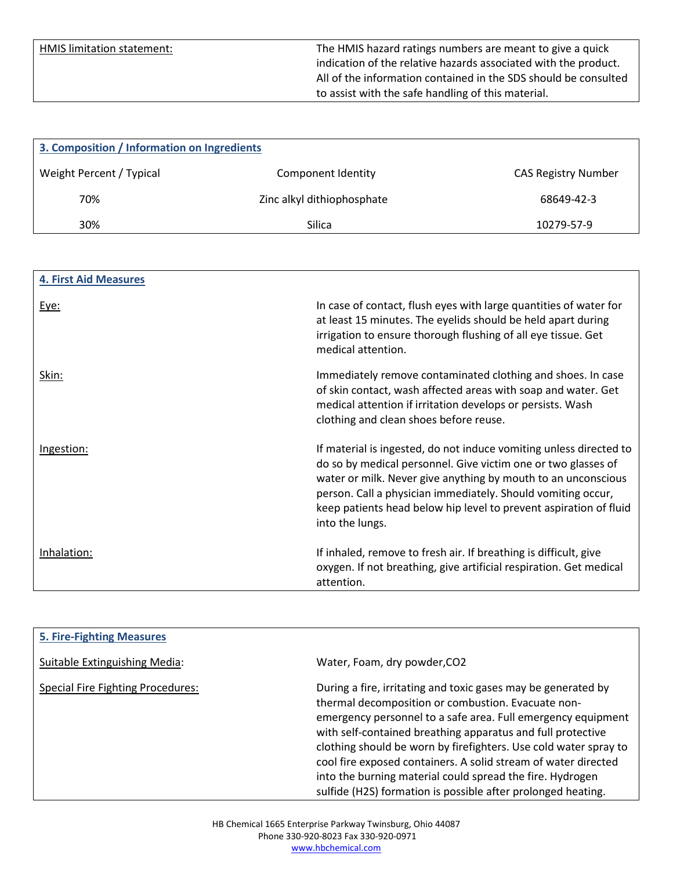HMIS limitation statement: The HMIS hazard ratings numbers are meant to give a quick indication of the relative hazards associated with the product. All of the information contained in the SDS should be consulted to assist with the safe handling of this material.

| 3. Composition / Information on Ingredients |                            |                            |
|---------------------------------------------|----------------------------|----------------------------|
| Weight Percent / Typical                    | Component Identity         | <b>CAS Registry Number</b> |
| 70%                                         | Zinc alkyl dithiophosphate | 68649-42-3                 |
| 30%                                         | Silica                     | 10279-57-9                 |

| <b>4. First Aid Measures</b> |                                                                                                                                                                                                                                                                                                                                                              |
|------------------------------|--------------------------------------------------------------------------------------------------------------------------------------------------------------------------------------------------------------------------------------------------------------------------------------------------------------------------------------------------------------|
| <u>Eye:</u>                  | In case of contact, flush eyes with large quantities of water for<br>at least 15 minutes. The eyelids should be held apart during<br>irrigation to ensure thorough flushing of all eye tissue. Get<br>medical attention.                                                                                                                                     |
| <u>Skin:</u>                 | Immediately remove contaminated clothing and shoes. In case<br>of skin contact, wash affected areas with soap and water. Get<br>medical attention if irritation develops or persists. Wash<br>clothing and clean shoes before reuse.                                                                                                                         |
| Ingestion:                   | If material is ingested, do not induce vomiting unless directed to<br>do so by medical personnel. Give victim one or two glasses of<br>water or milk. Never give anything by mouth to an unconscious<br>person. Call a physician immediately. Should vomiting occur,<br>keep patients head below hip level to prevent aspiration of fluid<br>into the lungs. |
| Inhalation:                  | If inhaled, remove to fresh air. If breathing is difficult, give<br>oxygen. If not breathing, give artificial respiration. Get medical<br>attention.                                                                                                                                                                                                         |

| <b>5. Fire-Fighting Measures</b>         |                                                                  |
|------------------------------------------|------------------------------------------------------------------|
|                                          |                                                                  |
| Suitable Extinguishing Media:            | Water, Foam, dry powder, CO2                                     |
|                                          |                                                                  |
| <b>Special Fire Fighting Procedures:</b> | During a fire, irritating and toxic gases may be generated by    |
|                                          |                                                                  |
|                                          | thermal decomposition or combustion. Evacuate non-               |
|                                          | emergency personnel to a safe area. Full emergency equipment     |
|                                          | with self-contained breathing apparatus and full protective      |
|                                          | clothing should be worn by firefighters. Use cold water spray to |
|                                          |                                                                  |
|                                          | cool fire exposed containers. A solid stream of water directed   |
|                                          | into the burning material could spread the fire. Hydrogen        |
|                                          | sulfide (H2S) formation is possible after prolonged heating.     |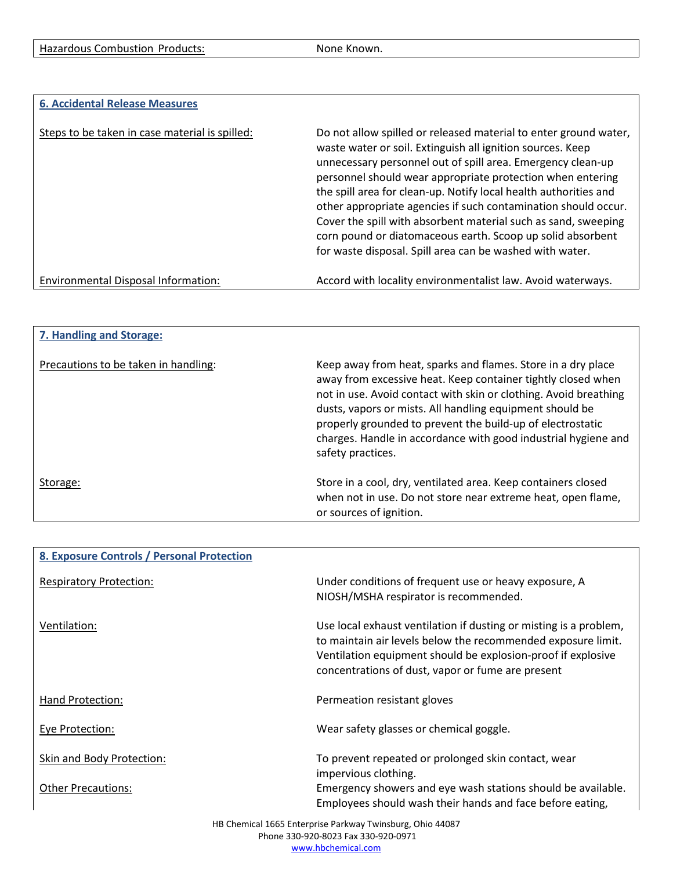| <b>6. Accidental Release Measures</b>          |                                                                                                                                                                                                                                                                                                                                                                                                                                                                                                                                                                                               |
|------------------------------------------------|-----------------------------------------------------------------------------------------------------------------------------------------------------------------------------------------------------------------------------------------------------------------------------------------------------------------------------------------------------------------------------------------------------------------------------------------------------------------------------------------------------------------------------------------------------------------------------------------------|
| Steps to be taken in case material is spilled: | Do not allow spilled or released material to enter ground water,<br>waste water or soil. Extinguish all ignition sources. Keep<br>unnecessary personnel out of spill area. Emergency clean-up<br>personnel should wear appropriate protection when entering<br>the spill area for clean-up. Notify local health authorities and<br>other appropriate agencies if such contamination should occur.<br>Cover the spill with absorbent material such as sand, sweeping<br>corn pound or diatomaceous earth. Scoop up solid absorbent<br>for waste disposal. Spill area can be washed with water. |
| Environmental Disposal Information:            | Accord with locality environmentalist law. Avoid waterways.                                                                                                                                                                                                                                                                                                                                                                                                                                                                                                                                   |

| 7. Handling and Storage:             |                                                                                                                                                                                                                                                                                                                                                                                                                   |
|--------------------------------------|-------------------------------------------------------------------------------------------------------------------------------------------------------------------------------------------------------------------------------------------------------------------------------------------------------------------------------------------------------------------------------------------------------------------|
| Precautions to be taken in handling: | Keep away from heat, sparks and flames. Store in a dry place<br>away from excessive heat. Keep container tightly closed when<br>not in use. Avoid contact with skin or clothing. Avoid breathing<br>dusts, vapors or mists. All handling equipment should be<br>properly grounded to prevent the build-up of electrostatic<br>charges. Handle in accordance with good industrial hygiene and<br>safety practices. |
| Storage:                             | Store in a cool, dry, ventilated area. Keep containers closed<br>when not in use. Do not store near extreme heat, open flame,<br>or sources of ignition.                                                                                                                                                                                                                                                          |

| 8. Exposure Controls / Personal Protection |                                                                                                                                                                                                                                                        |
|--------------------------------------------|--------------------------------------------------------------------------------------------------------------------------------------------------------------------------------------------------------------------------------------------------------|
| <b>Respiratory Protection:</b>             | Under conditions of frequent use or heavy exposure, A<br>NIOSH/MSHA respirator is recommended.                                                                                                                                                         |
| Ventilation:                               | Use local exhaust ventilation if dusting or misting is a problem,<br>to maintain air levels below the recommended exposure limit.<br>Ventilation equipment should be explosion-proof if explosive<br>concentrations of dust, vapor or fume are present |
| Hand Protection:                           | Permeation resistant gloves                                                                                                                                                                                                                            |
| Eye Protection:                            | Wear safety glasses or chemical goggle.                                                                                                                                                                                                                |
| Skin and Body Protection:                  | To prevent repeated or prolonged skin contact, wear<br>impervious clothing.                                                                                                                                                                            |
| <b>Other Precautions:</b>                  | Emergency showers and eye wash stations should be available.<br>Employees should wash their hands and face before eating,                                                                                                                              |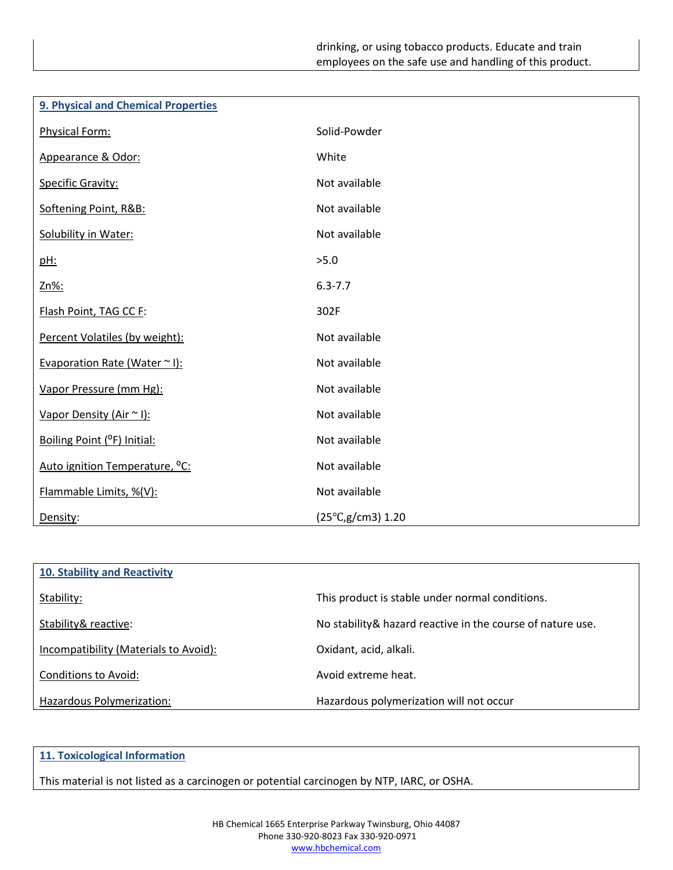| 9. Physical and Chemical Properties        |                             |
|--------------------------------------------|-----------------------------|
| Physical Form:                             | Solid-Powder                |
| Appearance & Odor:                         | White                       |
| Specific Gravity:                          | Not available               |
| Softening Point, R&B:                      | Not available               |
| Solubility in Water:                       | Not available               |
| pH:                                        | >5.0                        |
| Zn%:                                       | $6.3 - 7.7$                 |
| Flash Point, TAG CC F:                     | 302F                        |
| Percent Volatiles (by weight):             | Not available               |
| Evaporation Rate (Water ~ I):              | Not available               |
| Vapor Pressure (mm Hg):                    | Not available               |
| Vapor Density (Air ~ I):                   | Not available               |
| Boiling Point (°F) Initial:                | Not available               |
| Auto ignition Temperature, <sup>o</sup> C: | Not available               |
| Flammable Limits, %(V):                    | Not available               |
| Density:                                   | $(25^{\circ}C, g/cm3)$ 1.20 |

| 10. Stability and Reactivity          |                                                             |
|---------------------------------------|-------------------------------------------------------------|
| Stability:                            | This product is stable under normal conditions.             |
| Stability& reactive:                  | No stability & hazard reactive in the course of nature use. |
| Incompatibility (Materials to Avoid): | Oxidant, acid, alkali.                                      |
| Conditions to Avoid:                  | Avoid extreme heat.                                         |
| Hazardous Polymerization:             | Hazardous polymerization will not occur                     |

## **11. Toxicological Information**

This material is not listed as a carcinogen or potential carcinogen by NTP, IARC, or OSHA.